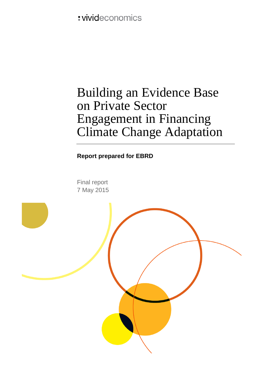: vivideconomics

# Building an Evidence Base on Private Sector Engagement in Financing Climate Change Adaptation

**Report prepared for EBRD**

Final report 7 May 2015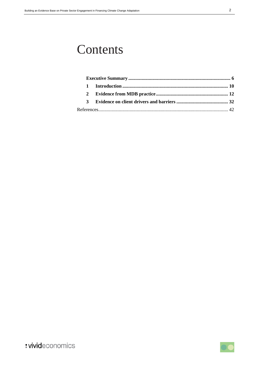# **Contents**

| 1.           |  |
|--------------|--|
| 2            |  |
| $\mathbf{z}$ |  |
|              |  |

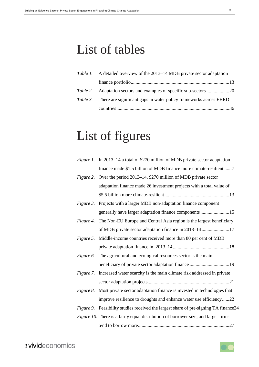# List of tables

| <i>Table 1.</i> A detailed overview of the 2013–14 MDB private sector adaptation  |
|-----------------------------------------------------------------------------------|
|                                                                                   |
|                                                                                   |
| <i>Table 3.</i> There are significant gaps in water policy frameworks across EBRD |
|                                                                                   |

# List of figures

|           | <i>Figure 1.</i> In 2013–14 a total of \$270 million of MDB private sector adaptation |
|-----------|---------------------------------------------------------------------------------------|
|           | finance made \$1.5 billion of MDB finance more climate-resilient 7                    |
|           | Figure 2. Over the period 2013–14, \$270 million of MDB private sector                |
|           | adaptation finance made 26 investment projects with a total value of                  |
|           |                                                                                       |
| Figure 3. | Projects with a larger MDB non-adaptation finance component                           |
|           | generally have larger adaptation finance components 15                                |
| Figure 4. | The Non-EU Europe and Central Asia region is the largest beneficiary                  |
|           | of MDB private sector adaptation finance in 2013–14 17                                |
| Figure 5. | Middle-income countries received more than 80 per cent of MDB                         |
|           |                                                                                       |
| Figure 6. | The agricultural and ecological resources sector is the main                          |
|           |                                                                                       |
| Figure 7. | Increased water scarcity is the main climate risk addressed in private                |
|           |                                                                                       |
| Figure 8. | Most private sector adaptation finance is invested in technologies that               |
|           | improve resilience to droughts and enhance water use efficiency22                     |
| Figure 9. | Feasibility studies received the largest share of pre-signing TA finance24            |
|           | Figure 10. There is a fairly equal distribution of borrower size, and larger firms    |
|           |                                                                                       |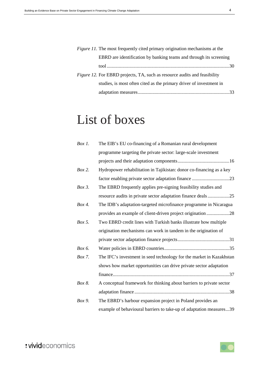| <i>Figure 11.</i> The most frequently cited primary origination mechanisms at the |  |
|-----------------------------------------------------------------------------------|--|
| EBRD are identification by banking teams and through its screening                |  |
|                                                                                   |  |
| <i>Figure 12.</i> For EBRD projects, TA, such as resource audits and feasibility  |  |
| studies, is most often cited as the primary driver of investment in               |  |
|                                                                                   |  |

# List of boxes

| $Box 1$ . | The EIB's EU co-financing of a Romanian rural development            |
|-----------|----------------------------------------------------------------------|
|           | programme targeting the private sector: large-scale investment       |
|           |                                                                      |
| Box 2.    | Hydropower rehabilitation in Tajikistan: donor co-financing as a key |
|           |                                                                      |
| Box 3.    | The EBRD frequently applies pre-signing feasibility studies and      |
|           | resource audits in private sector adaptation finance deals25         |
| Box 4.    | The IDB's adaptation-targeted microfinance programme in Nicaragua    |
|           | provides an example of client-driven project origination 28          |
| Box 5.    | Two EBRD credit lines with Turkish banks illustrate how multiple     |
|           | origination mechanisms can work in tandem in the origination of      |
|           |                                                                      |
| Box 6.    |                                                                      |
| Box 7.    | The IFC's investment in seed technology for the market in Kazakhstan |
|           | shows how market opportunities can drive private sector adaptation   |
|           |                                                                      |
| Box 8.    | A conceptual framework for thinking about barriers to private sector |
|           |                                                                      |
| Box 9.    | The EBRD's harbour expansion project in Poland provides an           |
|           | example of behavioural barriers to take-up of adaptation measures39  |

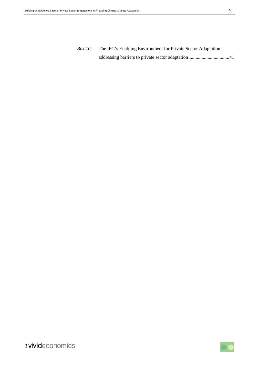*Box 10.* [The IFC's Enabling Environment for Private Sector Adaptation:](#page-40-0)  [addressing barriers to private sector adaptation..................................41](#page-40-0)



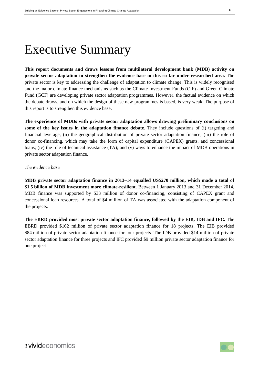# Executive Summary

**This report documents and draws lessons from multilateral development bank (MDB) activity on private sector adaptation to strengthen the evidence base in this so far under-researched area.** The private sector is key to addressing the challenge of adaptation to climate change. This is widely recognised and the major climate finance mechanisms such as the Climate Investment Funds (CIF) and Green Climate Fund (GCF) are developing private sector adaptation programmes. However, the factual evidence on which the debate draws, and on which the design of these new programmes is based, is very weak. The purpose of this report is to strengthen this evidence base.

**The experience of MDBs with private sector adaptation allows drawing preliminary conclusions on some of the key issues in the adaptation finance debate**. They include questions of (i) targeting and financial leverage; (ii) the geographical distribution of private sector adaptation finance; (iii) the role of donor co-financing, which may take the form of capital expenditure (CAPEX) grants, and concessional loans; (iv) the role of technical assistance (TA); and (v) ways to enhance the impact of MDB operations in private sector adaptation finance.

#### *The evidence base*

**MDB private sector adaptation finance in 2013–14 equalled US\$270 million, which made a total of \$1.5 billion of MDB investment more climate-resilient.** Between 1 January 2013 and 31 December 2014, MDB finance was supported by \$33 million of donor co-financing, consisting of CAPEX grant and concessional loan resources. A total of \$4 million of TA was associated with the adaptation component of the projects.

**The EBRD provided most private sector adaptation finance, followed by the EIB, IDB and IFC.** The EBRD provided \$162 million of private sector adaptation finance for 18 projects. The EIB provided \$84 million of private sector adaptation finance for four projects. The IDB provided \$14 million of private sector adaptation finance for three projects and IFC provided \$9 million private sector adaptation finance for one project.

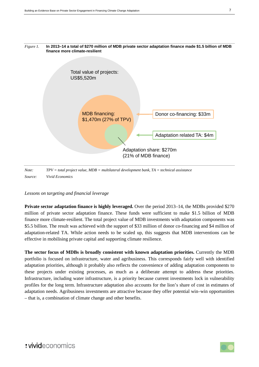<span id="page-6-0"></span>

*Lessons on targeting and financial leverage*

**Private sector adaptation finance is highly leveraged.** Over the period 2013–14, the MDBs provided \$270 million of private sector adaptation finance. These funds were sufficient to make \$1.5 billion of MDB finance more climate-resilient. The total project value of MDB investments with adaptation components was \$5.5 billion. The result was achieved with the support of \$33 million of donor co-financing and \$4 million of adaptation-related TA. While action needs to be scaled up, this suggests that MDB interventions can be effective in mobilising private capital and supporting climate resilience.

**The sector focus of MDBs is broadly consistent with known adaptation priorities.** Currently the MDB portfolio is focused on infrastructure, water and agribusiness. This corresponds fairly well with identified adaptation priorities, although it probably also reflects the convenience of adding adaptation components to these projects under existing processes, as much as a deliberate attempt to address these priorities. Infrastructure, including water infrastructure, is a priority because current investments lock in vulnerability profiles for the long term. Infrastructure adaptation also accounts for the lion's share of cost in estimates of adaptation needs. Agribusiness investments are attractive because they offer potential win–win opportunities – that is, a combination of climate change and other benefits.

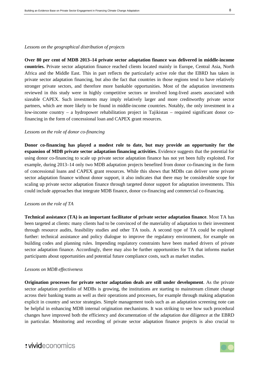#### *Lessons on the geographical distribution of projects*

**Over 80 per cent of MDB 2013–14 private sector adaptation finance was delivered in middle-income countries.** Private sector adaptation finance reached clients located mainly in Europe, Central Asia, North Africa and the Middle East. This in part reflects the particularly active role that the EBRD has taken in private sector adaptation financing, but also the fact that countries in those regions tend to have relatively stronger private sectors, and therefore more bankable opportunities. Most of the adaptation investments reviewed in this study were in highly competitive sectors or involved long-lived assets associated with sizeable CAPEX. Such investments may imply relatively larger and more creditworthy private sector partners, which are more likely to be found in middle-income countries. Notably, the only investment in a low-income country – a hydropower rehabilitation project in Tajikistan – required significant donor cofinancing in the form of concessional loan and CAPEX grant resources.

#### *Lessons on the role of donor co-financing*

**Donor co-financing has played a modest role to date, but may provide an opportunity for the expansion of MDB private sector adaptation financing activities.** Evidence suggests that the potential for using donor co-financing to scale up private sector adaptation finance has not yet been fully exploited. For example, during 2013–14 only two MDB adaptation projects benefited from donor co-financing in the form of concessional loans and CAPEX grant resources. While this shows that MDBs can deliver some private sector adaptation finance without donor support, it also indicates that there may be considerable scope for scaling up private sector adaptation finance through targeted donor support for adaptation investments. This could include approaches that integrate MDB finance, donor co-financing and commercial co-financing.

#### *Lessons on the role of TA*

**Technical assistance (TA) is an important facilitator of private sector adaptation finance**. Most TA has been targeted at clients: many clients had to be convinced of the materiality of adaptation to their investment through resource audits, feasibility studies and other TA tools. A second type of TA could be explored further: technical assistance and policy dialogue to improve the regulatory environment, for example on building codes and planning rules. Impending regulatory constraints have been marked drivers of private sector adaptation finance. Accordingly, there may also be further opportunities for TA that informs market participants about opportunities and potential future compliance costs, such as market studies.

#### *Lessons on MDB effectiveness*

**Origination processes for private sector adaptation deals are still under development**. As the private sector adaptation portfolio of MDBs is growing, the institutions are starting to mainstream climate change across their banking teams as well as their operations and processes, for example through making adaptation explicit in country and sector strategies. Simple management tools such as an adaptation screening note can be helpful in enhancing MDB internal origination mechanisms. It was striking to see how such procedural changes have improved both the efficiency and documentation of the adaptation due diligence at the EBRD in particular. Monitoring and recording of private sector adaptation finance projects is also crucial to

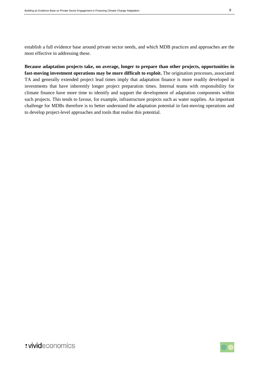establish a full evidence base around private sector needs, and which MDB practices and approaches are the most effective in addressing these.

**Because adaptation projects take, on average, longer to prepare than other projects, opportunities in fast-moving investment operations may be more difficult to exploit.** The origination processes, associated TA and generally extended project lead times imply that adaptation finance is more readily developed in investments that have inherently longer project preparation times. Internal teams with responsibility for climate finance have more time to identify and support the development of adaptation components within such projects. This tends to favour, for example, infrastructure projects such as water supplies. An important challenge for MDBs therefore is to better understand the adaptation potential in fast-moving operations and to develop project-level approaches and tools that realise this potential.

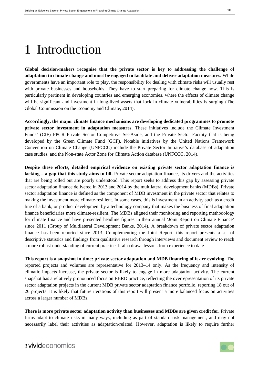# 1 Introduction

**Global decision-makers recognise that the private sector is key to addressing the challenge of adaptation to climate change and must be engaged to facilitate and deliver adaptation measures.** While governments have an important role to play, the responsibility for dealing with climate risks will usually rest with private businesses and households. They have to start preparing for climate change now. This is particularly pertinent in developing countries and emerging economies, where the effects of climate change will be significant and investment in long-lived assets that lock in climate vulnerabilities is surging (The Global Commission on the Economy and Climate, 2014).

**Accordingly, the major climate finance mechanisms are developing dedicated programmes to promote private sector investment in adaptation measures.** These initiatives include the Climate Investment Funds' (CIF) PPCR Private Sector Competitive Set-Aside, and the Private Sector Facility that is being developed by the Green Climate Fund (GCF). Notable initiatives by the United Nations Framework Convention on Climate Change (UNFCCC) include the Private Sector Initiative's database of adaptation case studies, and the Non-state Actor Zone for Climate Action database (UNFCCC, 2014).

**Despite these efforts, detailed empirical evidence on existing private sector adaptation finance is lacking – a gap that this study aims to fill.** Private sector adaptation finance, its drivers and the activities that are being rolled out are poorly understood. This report seeks to address this gap by assessing private sector adaptation finance delivered in 2013 and 2014 by the multilateral development banks (MDBs). Private sector adaptation finance is defined as the component of MDB investment in the private sector that relates to making the investment more climate-resilient. In some cases, this is investment in an activity such as a credit line of a bank, or product development by a technology company that makes the business of final adaptation finance beneficiaries more climate-resilient. The MDBs aligned their monitoring and reporting methodology for climate finance and have presented headline figures in their annual 'Joint Report on Climate Finance' since 2011 (Group of Multilateral Development Banks, 2014). A breakdown of private sector adaptation finance has been reported since 2013. Complementing the Joint Report, this report presents a set of descriptive statistics and findings from qualitative research through interviews and document review to reach a more robust understanding of current practice. It also draws lessons from experience to date.

**This report is a snapshot in time: private sector adaptation and MDB financing of it are evolving.** The reported projects and volumes are representative for 2013–14 only. As the frequency and intensity of climatic impacts increase, the private sector is likely to engage in more adaptation activity. The current snapshot has a relatively pronounced focus on EBRD practice, reflecting the overrepresentation of its private sector adaptation projects in the current MDB private sector adaptation finance portfolio, reporting 18 out of 26 projects. It is likely that future iterations of this report will present a more balanced focus on activities across a larger number of MDBs.

**There is more private sector adaptation activity than businesses and MDBs are given credit for.** Private firms adapt to climate risks in many ways, including as part of standard risk management, and may not necessarily label their activities as adaptation-related. However, adaptation is likely to require further

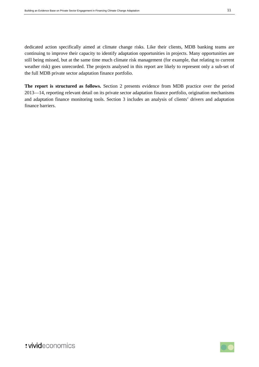dedicated action specifically aimed at climate change risks. Like their clients, MDB banking teams are continuing to improve their capacity to identify adaptation opportunities in projects. Many opportunities are still being missed, but at the same time much climate risk management (for example, that relating to current weather risk) goes unrecorded. The projects analysed in this report are likely to represent only a sub-set of the full MDB private sector adaptation finance portfolio.

**The report is structured as follows.** Section 2 presents evidence from MDB practice over the period 2013—14, reporting relevant detail on its private sector adaptation finance portfolio, origination mechanisms and adaptation finance monitoring tools. Section [3](#page-31-0) includes an analysis of clients' drivers and adaptation finance barriers.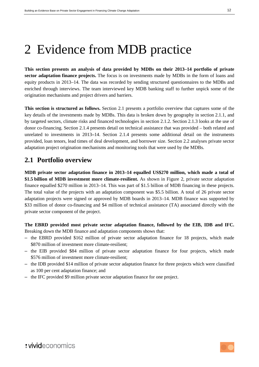# 2 Evidence from MDB practice

**This section presents an analysis of data provided by MDBs on their 2013–14 portfolio of private sector adaptation finance projects.** The focus is on investments made by MDBs in the form of loans and equity products in 2013–14. The data was recorded by sending structured questionnaires to the MDBs and enriched through interviews. The team interviewed key MDB banking staff to further unpick some of the origination mechanisms and project drivers and barriers.

**This section is structured as follows.** Section [2.1](#page-11-0) presents a portfolio overview that captures some of the key details of the investments made by MDBs. This data is broken down by geography in section 2.1.1, and by targeted sectors, climate risks and financed technologies in section [2.1.2.](#page-17-1) Section [2.1.3](#page-21-1) looks at the use of donor co-financing. Section [2.1.4](#page-22-1) presents detail on technical assistance that was provided – both related and unrelated to investments in 2013**–**14. Section 2.1.4 presents some additional detail on the instruments provided, loan tenors, lead times of deal development, and borrower size. Section [2.2](#page-26-1) analyses private sector adaptation project origination mechanisms and monitoring tools that were used by the MDBs.

### <span id="page-11-0"></span>**2.1 Portfolio overview**

**MDB private sector adaptation finance in 2013–14 equalled US\$270 million, which made a total of \$1.5 billion of MDB investment more climate-resilient.** As shown in [Figure 2,](#page-12-0) private sector adaptation finance equalled \$270 million in 2013–14. This was part of \$1.5 billion of MDB financing in these projects. The total value of the projects with an adaptation component was \$5.5 billion. A total of 26 private sector adaptation projects were signed or approved by MDB boards in 2013–14. MDB finance was supported by \$33 million of donor co-financing and \$4 million of technical assistance (TA) associated directly with the private sector component of the project.

**The EBRD provided most private sector adaptation finance, followed by the EIB, IDB and IFC.** Breaking down the MDB finance and adaptation components shows that:

- the EBRD provided \$162 million of private sector adaptation finance for 18 projects, which made \$870 million of investment more climate-resilient;
- the EIB provided \$84 million of private sector adaptation finance for four projects, which made \$576 million of investment more climate-resilient;
- the IDB provided \$14 million of private sector adaptation finance for three projects which were classified as 100 per cent adaptation finance; and
- the IFC provided \$9 million private sector adaptation finance for one project.

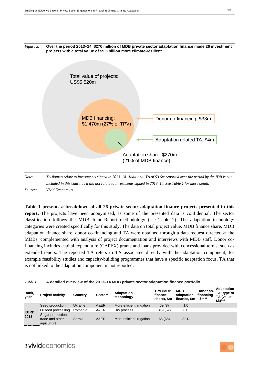

*Note: TA figures relate to investments signed in 2013–14. Additional TA of \$3.6m reported over the period by the IDB is not included in this chart, as it did not relate to investments signed in 2013–14. See Table 1 for more detail. Source: Vivid Economics*

**[Table 1](#page-12-1) presents a breakdown of all 26 private sector adaptation finance projects presented in this report.** The projects have been anonymised, as some of the presented data is confidential. The sector classification follows the MDB Joint Report methodology (see [Table 2\)](#page-19-0). The adaptation technology categories were created specifically for this study. The data on total project value, MDB finance share, MDB adaptation finance share, donor co-financing and TA were obtained through a data request directed at the MDBs, complemented with analysis of project documentation and interviews with MDB staff. Donor cofinancing includes capital expenditure (CAPEX) grants and loans provided with concessional terms, such as extended tenors. The reported TA refers to TA associated directly with the adaptation component, for example feasibility studies and capacity-building programmes that have a specific adaptation focus. TA that is not linked to the adaptation component is not reported.

<span id="page-12-1"></span>

| Table 1.            | A detailed overview of the 2013-14 MDB private sector adaptation finance portfolio |         |         |                           |                                           |                                                                  |                        |                                                           |
|---------------------|------------------------------------------------------------------------------------|---------|---------|---------------------------|-------------------------------------------|------------------------------------------------------------------|------------------------|-----------------------------------------------------------|
| Bank,<br>year       | <b>Project activity</b>                                                            | Country | Sector* | Adaptation<br>technology  | <b>TPV (MDB</b><br>finance<br>share), \$m | MDB<br>adaptation<br>finance, $\mathsf{Sm}$ , $\mathsf{Sm}^{**}$ | Donor co-<br>financing | <b>Adaptation</b><br>TA: type of<br>TA (value,<br>\$k)*** |
| <b>EBRD</b><br>2013 | Seed production                                                                    | Ukraine | A&ER    | More efficient irrigation | 59(8)                                     | 1.0                                                              |                        |                                                           |
|                     | Oilseed processing                                                                 | Romania | A&ER    | Dry process               | 319(52)                                   | 8.0                                                              |                        |                                                           |
|                     | Sugar production,<br>trade and other<br>agriculture                                | Serbia  | A&ER    | More efficient irrigation | 65 (65)                                   | 32.0                                                             |                        |                                                           |

# <span id="page-12-0"></span>*Figure 2.* **Over the period 2013–14, \$270 million of MDB private sector adaptation finance made 26 investment**

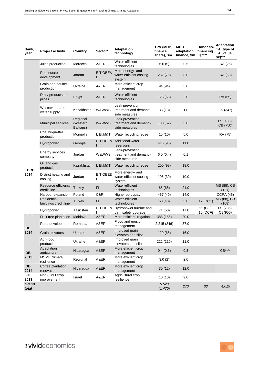| Bank.<br>year       | <b>Project activity</b>              | Country                          | Sector*    | <b>Adaptation</b><br>technology                            | <b>TPV (MDB</b><br>finance<br>share), \$m | MDB<br>adaptation<br>finance, \$m, \$m** | Donor co-<br>financing | Adaptation<br>TA: type of<br>TA (value,<br>\$k)*** |
|---------------------|--------------------------------------|----------------------------------|------------|------------------------------------------------------------|-------------------------------------------|------------------------------------------|------------------------|----------------------------------------------------|
|                     | Juice production                     | Morocco                          | A&ER       | Water-efficient<br>technologies                            | 6.0(5)                                    | 0.5                                      |                        | RA (26)                                            |
|                     | Real estate<br>development           | Jordan                           | E,T,OBE&   | More energy- and<br>water-efficient cooling<br>system      | 282 (75)                                  | 8.0                                      |                        | RA (63)                                            |
|                     | Grain and poultry<br>production      | Ukraine                          | A&ER       | More efficient crop<br>management                          | 94 (94)                                   | 3.0                                      |                        |                                                    |
|                     | Dairy products and<br>juices         | Egypt                            | A&ER       | Water-efficient<br>technologies                            | 128 (68)                                  | 2.0                                      |                        | RA (65)                                            |
|                     | Wastewater and<br>water supply       | Kazakhstan                       | W&WWS      | Leak prevention,<br>treatment and demand-<br>side measures | 33(13)                                    | 1.0                                      |                        | FS (347)                                           |
|                     | Municipal services                   | Regional<br>(Western<br>Balkans) | W&WWS      | Leak-prevention,<br>treatment and demand-<br>side measures | 130(52)                                   | 5.0                                      |                        | FS (488),<br>CB (750)                              |
|                     | Coal briquettes<br>production        | Mongolia                         | I, EI, M&T | Water recycling/reuse                                      | 15(10)                                    | 5.0                                      |                        | RA (75)                                            |
|                     | Hydropower                           | Georgia                          |            | E,T,OBE& Additional water<br>reservoirs                    | 416 (90)                                  | 11.0                                     |                        |                                                    |
|                     | Energy services<br>company           | Jordan                           | W&WWS      | Leak-prevention,<br>treatment and demand-<br>side measures | 6.0(0.4)                                  | 0.1                                      |                        |                                                    |
|                     | Oil and gas<br>production            | Kazakhstan                       | I, EI,M&T  | Water recycling/reuse                                      | 200 (99)                                  | 18.0                                     |                        |                                                    |
| <b>EBRD</b><br>2014 | District heating and<br>cooling      | Jordan                           | E,T,OBE&   | More energy- and<br>water-efficient cooling<br>system      | 106 (30)                                  | 10.0                                     |                        |                                                    |
|                     | Resource efficiency<br>credit line   | Turkey                           | FI         | Water-efficient<br>technologies                            | 65 (65)                                   | 21.0                                     |                        | MS (88), CB<br>(121)                               |
|                     | Harbour expansion                    | Poland                           | C&RI       | Higher port quay                                           | 467 (40)                                  | 14.0                                     |                        | <b>CCRA (45)</b>                                   |
|                     | Residential<br>buildings credit line | Turkey                           | FI         | Water-efficient<br>technologies                            | 60(48)                                    | 5.0                                      | 12 (DCF)               | MS (88), CB<br>(168)                               |
|                     | Hydropower                           | Tajikistan                       |            | E,T,OBE& Hydropower turbine and<br>dam safety upgrade      | 71 (50)                                   | 17.0                                     | 11 (CG),<br>10 (DCF)   | FS (736),<br>CB(955)                               |
|                     | Fruit tree plantation                | Moldova                          | A&ER       | More efficient irrigation                                  | 388 (155)                                 | 20.0                                     |                        |                                                    |
| EIB                 | Rural development                    | Romania                          | A&ER       | Flood and erosion<br>management                            | 2,215 (246)                               | 37.0                                     |                        |                                                    |
| 2014                | Grain elevators                      | Ukraine                          | A&ER       | Improved grain<br>elevators and silos                      | 129 (65)                                  | 16.0                                     |                        |                                                    |
|                     | Agri-food<br>production              | Ukraine                          | A&ER       | Improved grain<br>elevators and silos                      | 222 (110)                                 | 11.0                                     |                        |                                                    |
| <b>IDB</b>          | Adaptation in<br>agriculture         | Nicaragua                        | A&ER       | More efficient crop<br>management                          | 0.4(0.3)                                  | 0.3                                      |                        | $CB***$                                            |
| 2013                | MSME climate<br>resilience           | Regional                         | A&ER       | More efficient crop<br>management                          | 3.0(2)                                    | 2.0                                      |                        |                                                    |
| <b>IDB</b><br>2014  | Coffee plantation<br>renovation      | Nicaragua                        | A&ER       | More efficient crop<br>management                          | 30(12)                                    | 12.0                                     |                        |                                                    |
| <b>IFC</b><br>2013  | Non-GMO crop<br>improvement          | Israel                           | A&ER       | Agricultural crop<br>resilience                            | 10(10)                                    | 9.0                                      |                        |                                                    |
| Grand<br>total      |                                      |                                  |            |                                                            | 5,520<br>(1,470)                          | 270                                      | 33                     | 4,015                                              |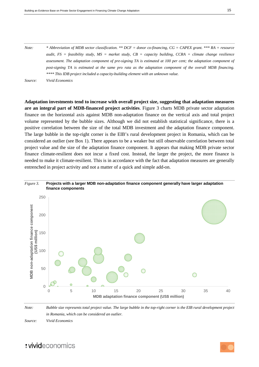*Note: \* Abbreviation of MDB sector classification. \*\* DCF = donor co-financing, CG = CAPEX grant. \*\*\* RA = resource audit, FS = feasibility study, MS = market study, CB = capacity building, CCRA = climate change resilience assessment. The adaptation component of pre-signing TA is estimated at 100 per cent; the adaptation component of post-signing TA is estimated at the same pro rata as the adaptation component of the overall MDB financing. \*\*\*\* This IDB project included a capacity-building element with an unknown value. Source: Vivid Economics*

**Adaptation investments tend to increase with overall project size, suggesting that adaptation measures are an integral part of MDB-financed project activities**. [Figure 3](#page-14-0) charts MDB private sector adaptation finance on the horizontal axis against MDB non-adaptation finance on the vertical axis and total project volume represented by the bubble sizes. Although we did not establish statistical significance, there is a positive correlation between the size of the total MDB investment and the adaptation finance component. The large bubble in the top-right corner is the EIB's rural development project in Romania, which can be considered an outlier (see [Box 1\)](#page-15-0). There appears to be a weaker but still observable correlation between total project value and the size of the adaptation finance component. It appears that making MDB private sector finance climate-resilient does not incur a fixed cost. Instead, the larger the project, the more finance is needed to make it climate-resilient. This is in accordance with the fact that adaptation measures are generally entrenched in project activity and not a matter of a quick and simple add-on.



### <span id="page-14-0"></span>*Figure 3.* **Projects with a larger MDB non-adaptation finance component generally have larger adaptation**

*Note: Bubble size represents total project value. The large bubble in the top-right corner is the EIB rural development project in Romania, which can be considered an outlier.*

*Source: Vivid Economics*

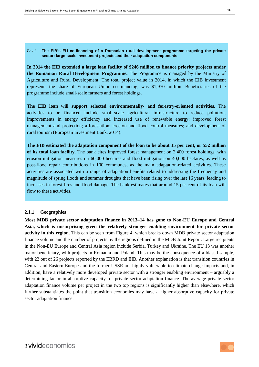#### <span id="page-15-0"></span>*Box 1.* **The EIB's EU co-financing of a Romanian rural development programme targeting the private sector: large-scale investment projects and their adaptation components**

**In 2014 the EIB extended a large loan facility of \$246 million to finance priority projects under the Romanian Rural Development Programme.** The Programme is managed by the Ministry of Agriculture and Rural Development. The total project value in 2014, in which the EIB investment represents the share of European Union co-financing, was \$1,970 million. Beneficiaries of the programme include small-scale farmers and forest holdings.

**The EIB loan will support selected environmentally- and forestry-oriented activities.** The activities to be financed include small-scale agricultural infrastructure to reduce pollution, improvements in energy efficiency and increased use of renewable energy; improved forest management and protection; afforestation; erosion and flood control measures; and development of rural tourism (European Investment Bank, 2014).

**The EIB estimated the adaptation component of the loan to be about 15 per cent, or \$52 million of its total loan facility.** The bank cites improved forest management on 2,400 forest holdings, with erosion mitigation measures on 60,000 hectares and flood mitigation on 40,000 hectares, as well as post-flood repair contributions in 100 communes, as the main adaptation-related activities. These activities are associated with a range of adaptation benefits related to addressing the frequency and magnitude of spring floods and summer droughts that have been rising over the last 16 years, leading to increases in forest fires and flood damage. The bank estimates that around 15 per cent of its loan will flow to these activities.

### **2.1.1 Geographies**

**Most MDB private sector adaptation finance in 2013–14 has gone to Non-EU Europe and Central Asia, which is unsurprising given the relatively stronger enabling environment for private sector activity in this region.** This can be seen from [Figure 4,](#page-16-0) which breaks down MDB private sector adaptation finance volume and the number of projects by the regions defined in the MDB Joint Report. Large recipients in the Non-EU Europe and Central Asia region include Serbia, Turkey and Ukraine. The EU 13 was another major beneficiary, with projects in Romania and Poland. This may be the consequence of a biased sample, with 22 out of 26 projects reported by the EBRD and EIB. Another explanation is that transition countries in Central and Eastern Europe and the former USSR are highly vulnerable to climate change impacts and, in addition, have a relatively more developed private sector with a stronger enabling environment – arguably a determining factor in absorptive capacity for private sector adaptation finance. The average private sector adaptation finance volume per project in the two top regions is significantly higher than elsewhere, which further substantiates the point that transition economies may have a higher absorptive capacity for private sector adaptation finance.

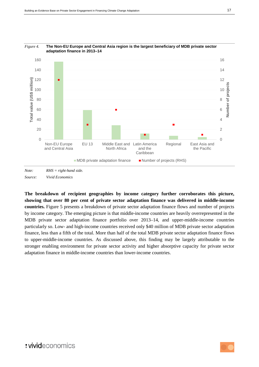

### <span id="page-16-0"></span>*Figure 4.* **The Non-EU Europe and Central Asia region is the largest beneficiary of MDB private sector**

*Note: RHS = right-hand side. Source: Vivid Economics*

**The breakdown of recipient geographies by income category further corroborates this picture, showing that over 80 per cent of private sector adaptation finance was delivered in middle-income countries.** [Figure 5](#page-17-0) presents a breakdown of private sector adaptation finance flows and number of projects by income category. The emerging picture is that middle-income countries are heavily overrepresented in the MDB private sector adaptation finance portfolio over 2013–14, and upper-middle-income countries particularly so. Low- and high-income countries received only \$40 million of MDB private sector adaptation finance, less than a fifth of the total. More than half of the total MDB private sector adaptation finance flows to upper-middle-income countries. As discussed above, this finding may be largely attributable to the stronger enabling environment for private sector activity and higher absorptive capacity for private sector adaptation finance in middle-income countries than lower-income countries.

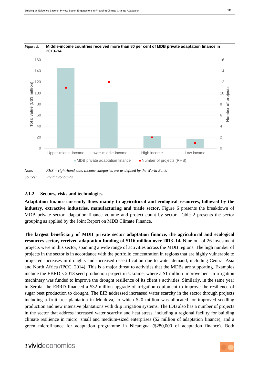

### <span id="page-17-0"></span>*Figure 5.* **Middle-income countries received more than 80 per cent of MDB private adaptation finance in**

*Note: RHS = right-hand side. Income categories are as defined by the World Bank. Source: Vivid Economics*

### <span id="page-17-1"></span>**2.1.2 Sectors, risks and technologies**

**Adaptation finance currently flows mainly to agricultural and ecological resources, followed by the industry, extractive industries, manufacturing and trade sector.** [Figure 6](#page-18-0) presents the breakdown of MDB private sector adaptation finance volume and project count by sector. [Table 2](#page-19-0) presents the sector grouping as applied by the Joint Report on MDB Climate Finance.

**The largest beneficiary of MDB private sector adaptation finance, the agricultural and ecological resources sector, received adaptation funding of \$116 million over 2013–14.** Nine out of 26 investment projects were in this sector, spanning a wide range of activities across the MDB regions. The high number of projects in the sector is in accordance with the portfolio concentration in regions that are highly vulnerable to projected increases in droughts and increased desertification due to water demand, including Central Asia and North Africa (IPCC, 2014). This is a major threat to activities that the MDBs are supporting. Examples include the EBRD's 2013 seed production project in Ukraine, where a \$1 million improvement in irrigation machinery was funded to improve the drought resilience of its client's activities. Similarly, in the same year in Serbia, the EBRD financed a \$32 million upgrade of irrigation equipment to improve the resilience of sugar beet production to drought. The EIB addressed increased water scarcity in the sector through projects including a fruit tree plantation in Moldova, to which \$20 million was allocated for improved seedling production and new intensive plantations with drip irrigation systems. The IDB also has a number of projects in the sector that address increased water scarcity and heat stress, including a regional facility for building climate resilience in micro, small and medium-sized enterprises (\$2 million of adaptation finance), and a green microfinance for adaptation programme in Nicaragua (\$280,000 of adaptation finance). Both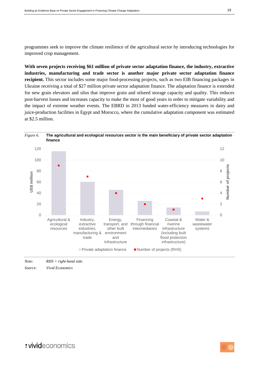programmes seek to improve the climate resilience of the agricultural sector by introducing technologies for improved crop management.

**With seven projects receiving \$61 million of private sector adaptation finance, the industry, extractive industries, manufacturing and trade sector is another major private sector adaptation finance recipient.** This sector includes some major food-processing projects, such as two EIB financing packages in Ukraine receiving a total of \$27 million private sector adaptation finance. The adaptation finance is extended for new grain elevators and silos that improve grain and oilseed storage capacity and quality. This reduces post-harvest losses and increases capacity to make the most of good years in order to mitigate variability and the impact of extreme weather events. The EBRD in 2013 funded water-efficiency measures in dairy and juice-production facilities in Egypt and Morocco, where the cumulative adaptation component was estimated at \$2.5 million.

<span id="page-18-0"></span>



*Source: Vivid Economics*

: vivideconomics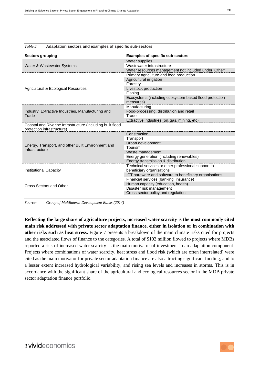| <b>Sectors grouping</b>                                                                  | <b>Examples of specific sub-sectors</b>                |  |  |  |
|------------------------------------------------------------------------------------------|--------------------------------------------------------|--|--|--|
|                                                                                          | Water supplies                                         |  |  |  |
| Water & Wastewater Systems                                                               | Wastewater infrastructure                              |  |  |  |
|                                                                                          | Water resources management not included under 'Other'  |  |  |  |
|                                                                                          | Primary agriculture and food production                |  |  |  |
|                                                                                          | Agricultural irrigation                                |  |  |  |
|                                                                                          | Forestry                                               |  |  |  |
| Agricultural & Ecological Resources                                                      | Livestock production                                   |  |  |  |
|                                                                                          | Fishing                                                |  |  |  |
|                                                                                          | Ecosystems (including ecosystem-based flood protection |  |  |  |
|                                                                                          | measures)                                              |  |  |  |
|                                                                                          | Manufacturing                                          |  |  |  |
| Industry, Extractive Industries, Manufacturing and                                       | Food-processing, distribution and retail               |  |  |  |
| Trade                                                                                    | Trade                                                  |  |  |  |
|                                                                                          | Extractive industries (oil, gas, mining, etc)          |  |  |  |
| Coastal and Riverine Infrastructure (including built flood<br>protection infrastructure) |                                                        |  |  |  |
|                                                                                          | Construction                                           |  |  |  |
|                                                                                          | Transport                                              |  |  |  |
| Energy, Transport, and other Built Environment and                                       | Urban development                                      |  |  |  |
| Infrastructure                                                                           | Tourism                                                |  |  |  |
|                                                                                          | Waste management                                       |  |  |  |
|                                                                                          | Energy generation (including renewables)               |  |  |  |
|                                                                                          | Energy transmission & distribution                     |  |  |  |
|                                                                                          | Technical services or other professional support to    |  |  |  |
| <b>Institutional Capacity</b>                                                            | beneficiary organisations                              |  |  |  |
|                                                                                          | ICT hardware and software to beneficiary organisations |  |  |  |
|                                                                                          | Financial services (banking, insurance)                |  |  |  |
| Cross Sectors and Other                                                                  | Human capacity (education, health)                     |  |  |  |
|                                                                                          | Disaster risk management                               |  |  |  |
|                                                                                          | Cross-sector policy and regulation                     |  |  |  |
|                                                                                          |                                                        |  |  |  |

#### <span id="page-19-0"></span>*Table 2.* **Adaptation sectors and examples of specific sub-sectors**

*Source: Group of Multilateral Development Banks (2014)*

**Reflecting the large share of agriculture projects, increased water scarcity is the most commonly cited main risk addressed with private sector adaptation finance, either in isolation or in combination with other risks such as heat stress.** [Figure 7](#page-20-0) presents a breakdown of the main climate risks cited for projects and the associated flows of finance to the categories. A total of \$102 million flowed to projects where MDBs reported a risk of increased water scarcity as the main motivator of investment in an adaptation component. Projects where combinations of water scarcity, heat stress and flood risk (which are often interrelated) were cited as the main motivator for private sector adaptation finance are also attracting significant funding; and to a lesser extent increased hydrological variability, and rising sea levels and increases in storms. This is in accordance with the significant share of the agricultural and ecological resources sector in the MDB private sector adaptation finance portfolio.

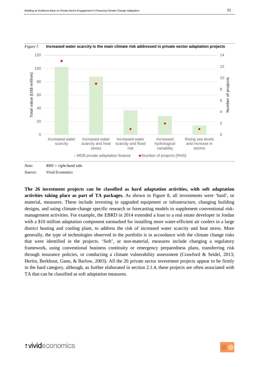

### <span id="page-20-0"></span>*Figure 7.* **Increased water scarcity is the main climate risk addressed in private sector adaptation projects**



**The 26 investment projects can be classified as hard adaptation activities, with soft adaptation activities taking place as part of TA packages.** As shown in [Figure 8,](#page-21-0) all investments were 'hard', or material, measures. These include investing in upgraded equipment or infrastructure, changing building designs, and using climate-change specific research or forecasting models to supplement conventional riskmanagement activities. For example, the EBRD in 2014 extended a loan to a real estate developer in Jordan with a \$10 million adaptation component earmarked for installing more water-efficient air coolers in a large district heating and cooling plant, to address the risk of increased water scarcity and heat stress. More generally, the type of technologies observed in the portfolio is in accordance with the climate change risks that were identified in the projects. 'Soft', or non-material, measures include changing a regulatory framework, using conventional business continuity or emergency preparedness plans, transferring risk through insurance policies, or conducting a climate vulnerability assessment (Crawford & Seidel, 2013; Hertin, Berkhout, Gann, & Barlow, 2003). All the 26 private sector investment projects appear to be firmly in the hard category, although, as further elaborated in section [2.1.4,](#page-22-1) these projects are often associated with TA that can be classified as soft adaptation measures.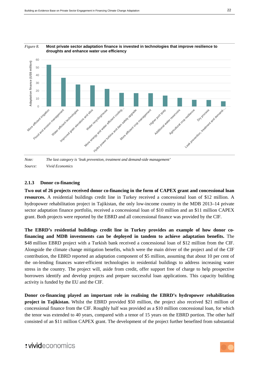

<span id="page-21-0"></span>

*Note: The last category is 'leak prevention, treatment and demand-side management' Source: Vivid Economics*

#### <span id="page-21-1"></span>**2.1.3 Donor co-financing**

**Two out of 26 projects received donor co-financing in the form of CAPEX grant and concessional loan resources.** A residential buildings credit line in Turkey received a concessional loan of \$12 million. A hydropower rehabilitation project in Tajikistan, the only low-income country in the MDB 2013–14 private sector adaptation finance portfolio, received a concessional loan of \$10 million and an \$11 million CAPEX grant. Both projects were reported by the EBRD and all concessional finance was provided by the CIF.

**The EBRD's residential buildings credit line in Turkey provides an example of how donor cofinancing and MDB investments can be deployed in tandem to achieve adaptation benefits.** The \$48 million EBRD project with a Turkish bank received a concessional loan of \$12 million from the CIF. Alongside the climate change mitigation benefits, which were the main driver of the project and of the CIF contribution, the EBRD reported an adaptation component of \$5 million, assuming that about 10 per cent of the on-lending finances water-efficient technologies in residential buildings to address increasing water stress in the country. The project will, aside from credit, offer support free of charge to help prospective borrowers identify and develop projects and prepare successful loan applications. This capacity building activity is funded by the EU and the CIF.

**Donor co-financing played an important role in realising the EBRD's hydropower rehabilitation project in Tajikistan.** Whilst the EBRD provided \$50 million, the project also received \$21 million of concessional finance from the CIF. Roughly half was provided as a \$10 million concessional loan, for which the tenor was extended to 40 years, compared with a tenor of 15 years on the EBRD portion. The other half consisted of an \$11 million CAPEX grant. The development of the project further benefited from substantial

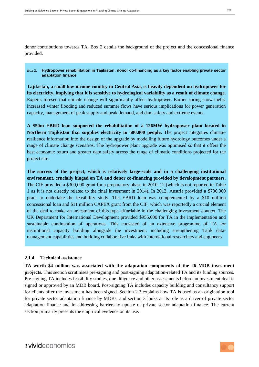donor contributions towards TA. [Box 2](#page-22-0) details the background of the project and the concessional finance provided.

#### <span id="page-22-0"></span>*Box 2.* **Hydropower rehabilitation in Tajikistan: donor co-financing as a key factor enabling private sector adaptation finance**

**Tajikistan, a small low-income country in Central Asia, is heavily dependent on hydropower for its electricity, implying that it is sensitive to hydrological variability as a result of climate change.** Experts foresee that climate change will significantly affect hydropower. Earlier spring snow-melts, increased winter flooding and reduced summer flows have serious implications for power generation capacity, management of peak supply and peak demand, and dam safety and extreme events.

**A \$50m EBRD loan supported the rehabilitation of a 126MW hydropower plant located in Northern Tajikistan that supplies electricity to 500,000 people.** The project integrates climateresilience information into the design of the upgrade by modelling future hydrology outcomes under a range of climate change scenarios. The hydropower plant upgrade was optimised so that it offers the best economic return and greater dam safety across the range of climatic conditions projected for the project site.

**The success of the project, which is relatively large-scale and in a challenging institutional environment, crucially hinged on TA and donor co-financing provided by development partners.** The CIF provided a \$300,000 grant for a preparatory phase in 2010–12 (which is not reported in [Table](#page-12-1)  [1](#page-12-1) as it is not directly related to the final investment in 2014). In 2012, Austria provided a \$736,000 grant to undertake the feasibility study. The EBRD loan was complemented by a \$10 million concessional loan and \$11 million CAPEX grant from the CIF, which was reportedly a crucial element of the deal to make an investment of this type affordable in the challenging investment context. The UK Department for International Development provided \$955,000 for TA in the implementation and sustainable continuation of operations. This consisted of an extensive programme of TA for institutional capacity building alongside the investment, including strengthening Tajik datamanagement capabilities and building collaborative links with international researchers and engineers.

### <span id="page-22-1"></span>**2.1.4 Technical assistance**

**TA worth \$4 million was associated with the adaptation components of the 26 MDB investment projects.** This section scrutinises pre-signing and post-signing adaptation-related TA and its funding sources. Pre-signing TA includes feasibility studies, due diligence and other assessments before an investment deal is signed or approved by an MDB board. Post-signing TA includes capacity building and consultancy support for clients after the investment has been signed. Section [2.2](#page-26-1) explains how TA is used as an origination tool for private sector adaptation finance by MDBs, and section [3](#page-31-0) looks at its role as a driver of private sector adaptation finance and in addressing barriers to uptake of private sector adaptation finance. The current section primarily presents the empirical evidence on its use.

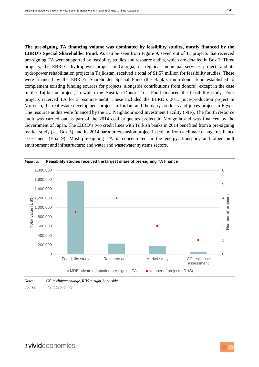**The pre-signing TA financing volume was dominated by feasibility studies, mostly financed by the EBRD's Special Shareholder Fund.** As can be seen from [Figure 9,](#page-23-0) seven out of 11 projects that received pre-signing TA were supported by feasibility studies and resource audits, which are detailed in [Box 3.](#page-24-0) Three projects, the EBRD's hydropower project in Georgia, its regional municipal services project, and its hydropower rehabilitation project in Tajikistan, received a total of \$1.57 million for feasibility studies. These were financed by the EBRD's Shareholder Special Fund (the Bank's multi-donor fund established to complement existing funding sources for projects, alongside contributions from donors), except in the case of the Tajikistan project, in which the Austrian Donor Trust Fund financed the feasibility study. Four projects received TA for a resource audit. These included the EBRD's 2013 juice-production project in Morocco, the real estate development project in Jordan, and the dairy products and juices project in Egypt. The resource audits were financed by the EU Neighbourhood Investment Facility (NIF). The fourth resource audit was carried out as part of the 2014 coal briquettes project in Mongolia and was financed by the Government of Japan. The EBRD's two credit lines with Turkish banks in 2014 benefited from a pre-signing market study (see [Box 5\)](#page-30-0), and its 2014 harbour expansion project in Poland from a climate change resilience assessment [\(Box 9\)](#page-38-0). Most pre-signing TA is concentrated in the energy, transport, and other built environment and infrastructure; and water and wastewater systems sectors.

<span id="page-23-0"></span>

*Note: CC = climate change, RHS = right-hand side. Source: Vivid Economics*

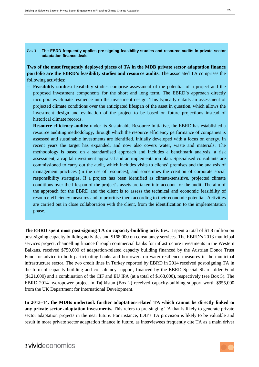#### <span id="page-24-0"></span>*Box 3.* **The EBRD frequently applies pre-signing feasibility studies and resource audits in private sector adaptation finance deals**

**Two of the most frequently deployed pieces of TA in the MDB private sector adaptation finance portfolio are the EBRD's feasibility studies and resource audits.** The associated TA comprises the following activities:

- **Feasibility studies:** feasibility studies comprise assessment of the potential of a project and the proposed investment components for the short and long term. The EBRD's approach directly incorporates climate resilience into the investment design. This typically entails an assessment of projected climate conditions over the anticipated lifespan of the asset in question, which allows the investment design and evaluation of the project to be based on future projections instead of historical climate records.
- **Resource efficiency audits:** under its Sustainable Resource Initiative, the EBRD has established a resource auditing methodology, through which the resource efficiency performance of companies is assessed and sustainable investments are identified. Initially developed with a focus on energy, in recent years the target has expanded, and now also covers water, waste and materials. The methodology is based on a standardised approach and includes a benchmark analysis, a risk assessment, a capital investment appraisal and an implementation plan. Specialised consultants are commissioned to carry out the audit, which includes visits to clients' premises and the analysis of management practices (in the use of resources), and sometimes the creation of corporate social responsibility strategies. If a project has been identified as climate-sensitive, projected climate conditions over the lifespan of the project's assets are taken into account for the audit. The aim of the approach for the EBRD and the client is to assess the technical and economic feasibility of resource-efficiency measures and to prioritise them according to their economic potential. Activities are carried out in close collaboration with the client, from the identification to the implementation phase.

**The EBRD spent most post-signing TA on capacity-building activities.** It spent a total of \$1.8 million on post-signing capacity building activities and \$168,000 on consultancy services. The EBRD's 2013 municipal services project, channelling finance through commercial banks for infrastructure investments in the Western Balkans, received \$750,000 of adaptation-related capacity building financed by the Austrian Donor Trust Fund for advice to both participating banks and borrowers on water-resilience measures in the municipal infrastructure sector. The two credit lines in Turkey reported by EBRD in 2014 received post-signing TA in the form of capacity-building and consultancy support, financed by the EBRD Special Shareholder Fund (\$121,000) and a combination of the CIF and EU IPA (at a total of \$168,000), respectively (see [Box 5\)](#page-30-0). The EBRD 2014 hydropower project in Tajikistan [\(Box 2\)](#page-22-0) received capacity-building support worth \$955,000 from the UK Department for International Development.

**In 2013–14, the MDBs undertook further adaptation-related TA which cannot be directly linked to any private sector adaptation investments.** This refers to pre-singing TA that is likely to generate private sector adaptation projects in the near future. For instance, IDB's TA provision is likely to be valuable and result in more private sector adaptation finance in future, as interviewees frequently cite TA as a main driver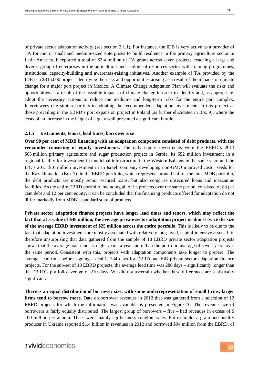of private sector adaptation activity (see section [3.1.1\)](#page-31-1). For instance, the IDB is very active as a provider of TA for micro, small and medium-sized enterprises to build resilience in the primary agriculture sector in Latin America. It reported a total of \$3.4 million of TA grants across seven projects, reaching a large and diverse group of enterprises in the agricultural and ecological resources sector with training programmes, institutional capacity-building and awareness-raising initiatives. Another example of TA provided by the IDB is a \$315,000 project identifying the risks and opportunities arising as a result of the impacts of climate change for a major port project in Mexico. A Climate Change Adaptation Plan will evaluate the risks and opportunities as a result of the possible impacts of climate change in order to identify and, as appropriate, adopt the necessary actions to reduce the medium- and long-term risks for the entire port complex. Interviewees cite similar barriers to adopting the recommended adaptation investments in this project as those prevailing in the EBRD's port expansion project in Poland (as further elucidated in [Box 9\)](#page-38-0), where the costs of an increase in the height of a quay wall presented a significant hurdle.

#### **2.1.5 Instruments, tenors, lead times, borrower size**

**Over 90 per cent of MDB financing with an adaptation component consisted of debt products, with the remainder consisting of equity investments.** The only equity investments were the EBRD's 2013 \$65 million primary agriculture and sugar production project in Serbia, its \$52 million investment in a regional facility for investment in municipal infrastructure in the Western Balkans in the same year, and the IFC's 2013 \$10 million investment in an Israeli company developing non-GMO improved castor seeds for the Kazakh market [\(Box 7\)](#page-36-0). In the EBRD portfolio, which represents around half of the total MDB portfolio, the debt products are mostly senior secured loans, but also comprise unsecured loans and mezzanine facilities. As the entire EBRD portfolio, including all of its projects over the same period, consisted of 88 per cent debt and 12 per cent equity, it can be concluded that the financing products offered for adaptation do not differ markedly from MDB's standard suite of products.

**Private sector adaptation finance projects have longer lead times and tenors, which may reflect the fact that at a value of \$48 million, the average private sector adaptation project is almost twice the size of the average EBRD investment of \$25 million across the entire portfolio.** This is likely to be due to the fact that adaptation investments are mostly associated with relatively long-lived, capital-intensive assets. It is therefore unsurprising that data gathered from the sample of 18 EBRD private sector adaptation projects shows that the average loan tenor is eight years, a year more than the portfolio average of seven years over the same period. Consistent with this, projects with adaptation components take longer to prepare. The average lead time before signing a deal is 334 days for EBRD and EIB private sector adaptation finance projects. For the sub-set of 18 EBRD projects, the average lead time was 280 days – significantly longer than the EBRD's portfolio average of 210 days. We did not ascertain whether these differences are statistically significant.

**There is an equal distribution of borrower size, with some underrepresentation of small firms; larger firms tend to borrow more.** Data on borrower revenues in 2012 that was gathered from a selection of 12 EBRD projects for which the information was available is presented in [Figure 10.](#page-26-0) The revenue size of borrowers is fairly equally distributed. The largest group of borrowers – five – had revenues in excess of  $\$$ 100 million per annum. These were mainly agribusiness conglomerates. For example, a grain and poultry producer in Ukraine reported \$1.4 billion in revenues in 2012 and borrowed \$94 million from the EBRD, of

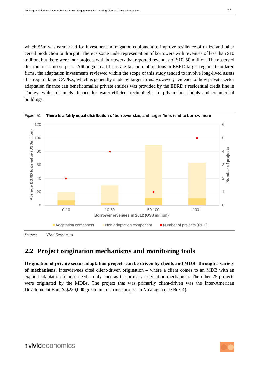which \$3m was earmarked for investment in irrigation equipment to improve resilience of maize and other cereal production to drought. There is some underrepresentation of borrowers with revenues of less than \$10 million, but there were four projects with borrowers that reported revenues of \$10–50 million. The observed distribution is no surprise. Although small firms are far more ubiquitous in EBRD target regions than large firms, the adaptation investments reviewed within the scope of this study tended to involve long-lived assets that require large CAPEX, which is generally made by larger firms. However, evidence of how private sector adaptation finance can benefit smaller private entities was provided by the EBRD's residential credit line in Turkey, which channels finance for water-efficient technologies to private households and commercial buildings.



<span id="page-26-0"></span>*Figure 10.* **There is a fairly equal distribution of borrower size, and larger firms tend to borrow more**

*Source: Vivid Economics* 

### <span id="page-26-1"></span>**2.2 Project origination mechanisms and monitoring tools**

**Origination of private sector adaptation projects can be driven by clients and MDBs through a variety of mechanisms.** Interviewees cited client-driven origination – where a client comes to an MDB with an explicit adaptation finance need – only once as the primary origination mechanism. The other 25 projects were originated by the MDBs. The project that was primarily client-driven was the Inter-American Development Bank's \$280,000 green microfinance project in Nicaragua (se[e Box 4\)](#page-27-0).

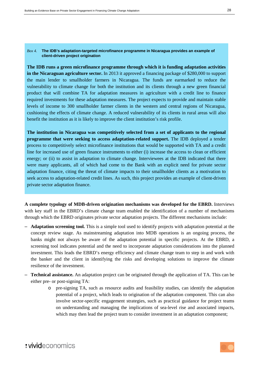#### <span id="page-27-0"></span>*Box 4.* **The IDB's adaptation-targeted microfinance programme in Nicaragua provides an example of client-driven project origination**

**The IDB runs a green microfinance programme through which it is funding adaptation activities in the Nicaraguan agriculture sector.** In 2013 it approved a financing package of \$280,000 to support the main lender to smallholder farmers in Nicaragua. The funds are earmarked to reduce the vulnerability to climate change for both the institution and its clients through a new green financial product that will combine TA for adaptation measures in agriculture with a credit line to finance required investments for these adaptation measures. The project expects to provide and maintain stable levels of income to 300 smallholder farmer clients in the western and central regions of Nicaragua, cushioning the effects of climate change. A reduced vulnerability of its clients in rural areas will also benefit the institution as it is likely to improve the client institution's risk profile.

**The institution in Nicaragua was competitively selected from a set of applicants to the regional programme that were seeking to access adaptation-related support.** The IDB deployed a tender process to competitively select microfinance institutions that would be supported with TA and a credit line for increased use of green finance instruments to either (i) increase the access to clean or efficient energy; or (ii) to assist in adaptation to climate change. Interviewees at the IDB indicated that there were many applicants, all of which had come to the Bank with an explicit need for private sector adaptation finance, citing the threat of climate impacts to their smallholder clients as a motivation to seek access to adaptation-related credit lines. As such, this project provides an example of client-driven private sector adaptation finance.

**A complete typology of MDB-driven origination mechanisms was developed for the EBRD.** Interviews with key staff in the EBRD's climate change team enabled the identification of a number of mechanisms through which the EBRD originates private sector adaptation projects. The different mechanisms include:

- **Adaptation screening tool.** This is a simple tool used to identify projects with adaptation potential at the concept review stage. As mainstreaming adaptation into MDB operations is an ongoing process, the banks might not always be aware of the adaptation potential in specific projects. At the EBRD, a screening tool indicates potential and the need to incorporate adaptation considerations into the planned investment. This leads the EBRD's energy efficiency and climate change team to step in and work with the banker and the client in identifying the risks and developing solutions to improve the climate resilience of the investment.
- **Technical assistance.** An adaptation project can be originated through the application of TA. This can be either pre- or post-signing TA:
	- o pre-signing TA, such as resource audits and feasibility studies, can identify the adaptation potential of a project, which leads to origination of the adaptation component. This can also involve sector-specific engagement strategies, such as practical guidance for project teams on understanding and managing the implications of sea-level rise and associated impacts, which may then lead the project team to consider investment in an adaptation component;

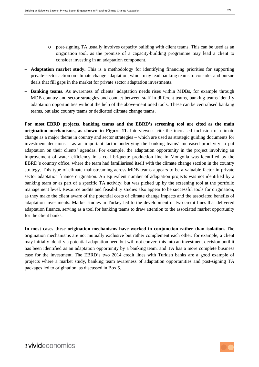- o post-signing TA usually involves capacity building with client teams. This can be used as an origination tool, as the promise of a capacity-building programme may lead a client to consider investing in an adaptation component.
- **Adaptation market study.** This is a methodology for identifying financing priorities for supporting private-sector action on climate change adaptation, which may lead banking teams to consider and pursue deals that fill gaps in the market for private sector adaptation investments.
- **Banking teams.** As awareness of clients' adaptation needs rises within MDBs, for example through MDB country and sector strategies and contact between staff in different teams, banking teams identify adaptation opportunities without the help of the above-mentioned tools. These can be centralised banking teams, but also country teams or dedicated climate change teams.

**For most EBRD projects, banking teams and the EBRD's screening tool are cited as the main origination mechanisms, as shown in [Figure 11.](#page-29-0)** Interviewees cite the increased inclusion of climate change as a major theme in country and sector strategies – which are used as strategic guiding documents for investment decisions – as an important factor underlying the banking teams' increased proclivity to put adaptation on their clients' agendas. For example, the adaptation opportunity in the project involving an improvement of water efficiency in a coal briquette production line in Mongolia was identified by the EBRD's country office, where the team had familiarised itself with the climate change section in the country strategy. This type of climate mainstreaming across MDB teams appears to be a valuable factor in private sector adaptation finance origination. An equivalent number of adaptation projects was not identified by a banking team or as part of a specific TA activity, but was picked up by the screening tool at the portfolio management level. Resource audits and feasibility studies also appear to be successful tools for origination, as they make the client aware of the potential costs of climate change impacts and the associated benefits of adaptation investments. Market studies in Turkey led to the development of two credit lines that delivered adaptation finance, serving as a tool for banking teams to draw attention to the associated market opportunity for the client banks.

**In most cases these origination mechanisms have worked in conjunction rather than isolation.** The origination mechanisms are not mutually exclusive but rather complement each other: for example, a client may initially identify a potential adaptation need but will not convert this into an investment decision until it has been identified as an adaptation opportunity by a banking team, and TA has a more complete business case for the investment. The EBRD's two 2014 credit lines with Turkish banks are a good example of projects where a market study, banking team awareness of adaptation opportunities and post-signing TA packages led to origination, as discussed in [Box 5.](#page-30-0)

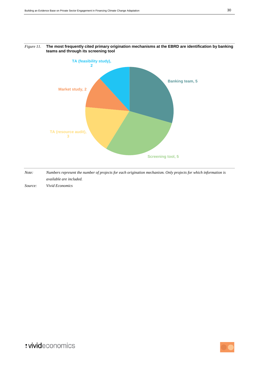

#### <span id="page-29-0"></span>*Figure 11.* **The most frequently cited primary origination mechanisms at the EBRD are identification by banking teams and through its screening tool**

*Note: Numbers represent the number of projects for each origination mechanism. Only projects for which information is available are included.*

*Source: Vivid Economics*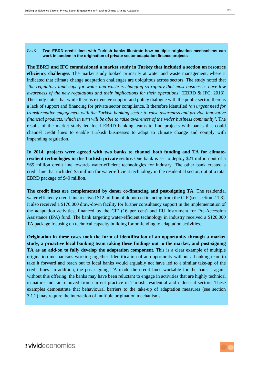#### <span id="page-30-0"></span>*Box 5.* **Two EBRD credit lines with Turkish banks illustrate how multiple origination mechanisms can work in tandem in the origination of private sector adaptation finance projects**

**The EBRD and IFC commissioned a market study in Turkey that included a section on resource efficiency challenges.** The market study looked primarily at water and waste management, where it indicated that climate change adaptation challenges are ubiquitous across sectors. The study noted that *'the regulatory landscape for water and waste is changing so rapidly that most businesses have low awareness of the new regulations and their implications for their operations*' (EBRD & IFC, 2013). The study notes that while there is extensive support and policy dialogue with the public sector, there is a lack of support and financing for private sector compliance. It therefore identified *'an urgent need for transformative engagement with the Turkish banking sector to raise awareness and provide innovative financial products, which in turn will be able to raise awareness of the wider business community'*. The results of the market study led local EBRD banking teams to find projects with banks that could channel credit lines to enable Turkish businesses to adapt to climate change and comply with impending regulation.

**In 2014, projects were agreed with two banks to channel both funding and TA for climateresilient technologies in the Turkish private sector.** One bank is set to deploy \$21 million out of a \$65 million credit line towards water-efficient technologies for industry. The other bank created a credit line that included \$5 million for water-efficient technology in the residential sector, out of a total EBRD package of \$40 million.

**The credit lines are complemented by donor co-financing and post-signing TA.** The residential water efficiency credit line received \$12 million of donor co-financing from the CIF (see section [2.1.3\)](#page-21-1). It also received a \$170,000 draw-down facility for further consultancy support in the implementation of the adaptation activities, financed by the CIF (16 per cent) and EU Instrument for Pre-Accession Assistance (IPA) fund. The bank targeting water-efficient technology in industry received a \$120,000 TA package focusing on technical capacity building for on-lending to adaptation activities.

**Origination in these cases took the form of identification of an opportunity through a market study, a proactive local banking team taking these findings out to the market, and post-signing TA as an add-on to fully develop the adaptation component.** This is a clear example of multiple origination mechanisms working together. Identification of an opportunity without a banking team to take it forward and reach out to local banks would arguably not have led to a similar take-up of the credit lines. In addition, the post-signing TA made the credit lines workable for the bank – again, without this offering, the banks may have been reluctant to engage in activities that are highly technical in nature and far removed from current practice in Turkish residential and industrial sectors. These examples demonstrate that behavioural barriers to the take-up of adaptation measures (see section [3.1.2\)](#page-37-1) may require the interaction of multiple origination mechanisms.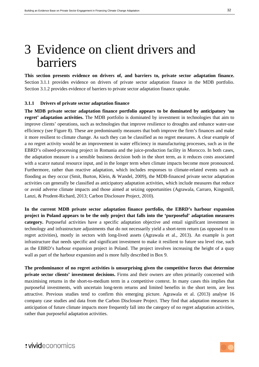## <span id="page-31-0"></span>3 Evidence on client drivers and barriers

**This section presents evidence on drivers of, and barriers to, private sector adaptation finance.** Section [3.1.1](#page-31-1) provides evidence on drivers of private sector adaptation finance in the MDB portfolio. Section [3.1.2](#page-37-1) provides evidence of barriers to private sector adaptation finance uptake.

#### <span id="page-31-1"></span>**3.1.1 Drivers of private sector adaptation finance**

**The MDB private sector adaptation finance portfolio appears to be dominated by anticipatory 'no regret' adaptation activities.** The MDB portfolio is dominated by investment in technologies that aim to improve clients' operations, such as technologies that improve resilience to droughts and enhance water-use efficiency (see [Figure 8\)](#page-21-0). These are predominantly measures that both improve the firm's finances and make it more resilient to climate change. As such they can be classified as no regret measures. A clear example of a no regret activity would be an improvement in water efficiency in manufacturing processes, such as in the EBRD's oilseed-processing project in Romania and the juice-production facility in Morocco. In both cases, the adaptation measure is a sensible business decision both in the short term, as it reduces costs associated with a scarce natural resource input, and in the longer term when climate impacts become more pronounced. Furthermore, rather than reactive adaptation, which includes responses to climate-related events such as flooding as they occur (Smit, Burton, Klein, & Wandel, 2009), the MDB-financed private sector adaptation activities can generally be classified as anticipatory adaptation activities, which include measures that reduce or avoid adverse climate impacts and those aimed at seizing opportunities (Agrawala, Carraro, Kingsmill, Lanzi, & Prudent-Richard, 2013; Carbon Disclosure Project, 2010).

**In the current MDB private sector adaptation finance portfolio, the EBRD's harbour expansion project in Poland appears to be the only project that falls into the 'purposeful' adaptation measures category.** Purposeful activities have a specific adaptation objective and entail significant investment in technology and infrastructure adjustments that do not necessarily yield a short-term return (as opposed to no regret activities), mostly in sectors with long-lived assets (Agrawala et al., 2013). An example is port infrastructure that needs specific and significant investment to make it resilient to future sea level rise, such as the EBRD's harbour expansion project in Poland. The project involves increasing the height of a quay wall as part of the harbour expansion and is more fully described in [Box 9.](#page-38-0)

**The predominance of no regret activities is unsurprising given the competitive forces that determine private sector clients' investment decisions.** Firms and their owners are often primarily concerned with maximising returns in the short-to-medium term in a competitive context. In many cases this implies that purposeful investments, with uncertain long-term returns and limited benefits in the short term, are less attractive. Previous studies tend to confirm this emerging picture. Agrawala et al. (2013) analyse 16 company case studies and data from the Carbon Disclosure Project. They find that adaptation measures in anticipation of future climate impacts more frequently fall into the category of no regret adaptation activities, rather than purposeful adaptation activities.

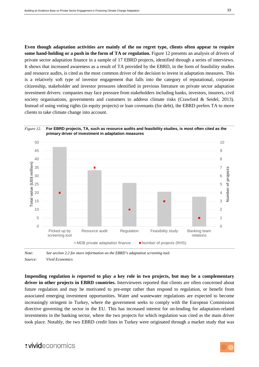**Even though adaptation activities are mainly of the no regret type, clients often appear to require some hand-holding or a push in the form of TA or regulation.** [Figure 12](#page-32-0) presents an analysis of drivers of private sector adaptation finance in a sample of 17 EBRD projects, identified through a series of interviews. It shows that increased awareness as a result of TA provided by the EBRD, in the form of feasibility studies and resource audits, is cited as the most common driver of the decision to invest in adaptation measures. This is a relatively soft type of investor engagement that falls into the category of reputational, corporate citizenship, stakeholder and investor pressures identified in previous literature on private sector adaptation investment drivers: companies may face pressure from stakeholders including banks, investors, insurers, civil society organisations, governments and customers to address climate risks (Crawford & Seidel, 2013). Instead of using voting rights (in equity projects) or loan covenants (for debt), the EBRD prefers TA to move clients to take climate change into account.

<span id="page-32-0"></span>

*Note: See section [2.2](#page-26-1) for more information on the EBRD's adaptation screening tool. Source: Vivid Economics*

**Impending regulation is reported to play a key role in two projects, but may be a complementary driver in other projects in EBRD countries.** Interviewees reported that clients are often concerned about future regulation and may be motivated to pre-empt rather than respond to regulation, or benefit from associated emerging investment opportunities. Water and wastewater regulations are expected to become increasingly stringent in Turkey, where the government seeks to comply with the European Commission directive governing the sector in the EU. This has increased interest for on-lending for adaptation-related investments in the banking sector, where the two projects for which regulation was cited as the main driver took place. Notably, the two EBRD credit lines in Turkey were originated through a market study that was

### : vivideconomics

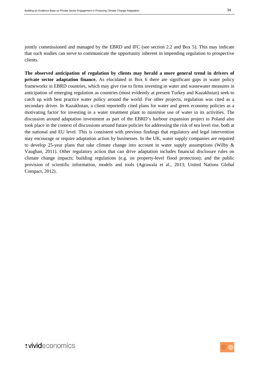jointly commissioned and managed by the EBRD and IFC (see section 2.2 and [Box 5\)](#page-30-0). This may indicate that such studies can serve to communicate the opportunity inherent in impending regulation to prospective clients.

**The observed anticipation of regulation by clients may herald a more general trend in drivers of private sector adaptation finance.** As elucidated in [Box 6](#page-34-0) there are significant gaps in water policy frameworks in EBRD countries, which may give rise to firms investing in water and wastewater measures in anticipation of emerging regulation as countries (most evidently at present Turkey and Kazakhstan) seek to catch up with best practice water policy around the world. For other projects, regulation was cited as a secondary driver. In Kazakhstan, a client reportedly cited plans for water and green economy policies as a motivating factor for investing in a water treatment plant to minimise use of water in its activities. The discussion around adaptation investment as part of the EBRD's harbour expansion project in Poland also took place in the context of discussions around future policies for addressing the risk of sea level rise, both at the national and EU level. This is consistent with previous findings that regulatory and legal intervention may encourage or require adaptation action by businesses. In the UK, water supply companies are required to develop 25-year plans that take climate change into account in water supply assumptions (Wilby & Vaughan, 2011). Other regulatory action that can drive adaptation includes financial disclosure rules on climate change impacts; building regulations (e.g. on property-level flood protection); and the public provision of scientific information, models and tools (Agrawala et al., 2013; United Nations Global Compact, 2012).

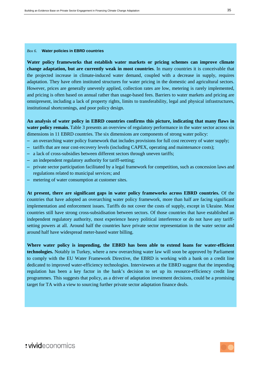#### <span id="page-34-0"></span>*Box 6.* **Water policies in EBRD countries**

**Water policy frameworks that establish water markets or pricing schemes can improve climate change adaptation, but are currently weak in most countries**. In many countries it is conceivable that the projected increase in climate-induced water demand, coupled with a decrease in supply, requires adaptation. They have often instituted structures for water pricing in the domestic and agricultural sectors. However, prices are generally unevenly applied, collection rates are low, metering is rarely implemented, and pricing is often based on annual rather than usage-based fees. Barriers to water markets and pricing are omnipresent, including a lack of property rights, limits to transferability, legal and physical infrastructures, institutional shortcomings, and poor policy design.

**An analysis of water policy in EBRD countries confirms this picture, indicating that many flaws in water policy remain.** [Table 3](#page-35-0) presents an overview of regulatory performance in the water sector across six dimensions in 11 EBRD countries. The six dimensions are components of strong water policy:

- an overarching water policy framework that includes provisions for full cost recovery of water supply;
- tariffs that are near cost-recovery levels (including CAPEX, operating and maintenance costs);
- a lack of cross-subsidies between different sectors through uneven tariffs;
- an independent regulatory authority for tariff-setting;
- private sector participation facilitated by a legal framework for competition, such as concession laws and regulations related to municipal services; and
- metering of water consumption at customer sites.

**At present, there are significant gaps in water policy frameworks across EBRD countries.** Of the countries that have adopted an overarching water policy framework, more than half are facing significant implementation and enforcement issues. Tariffs do not cover the costs of supply, except in Ukraine. Most countries still have strong cross-subsidisation between sectors. Of those countries that have established an independent regulatory authority, most experience heavy political interference or do not have any tariffsetting powers at all. Around half the countries have private sector representation in the water sector and around half have widespread meter-based water billing.

**Where water policy is impending, the EBRD has been able to extend loans for water-efficient technologies.** Notably in Turkey, where a new overarching water law will soon be approved by Parliament to comply with the EU Water Framework Directive, the EBRD is working with a bank on a credit line dedicated to improved water-efficiency technologies. Interviewees at the EBRD suggest that the impending regulation has been a key factor in the bank's decision to set up its resource-efficiency credit line programmes. This suggests that policy, as a driver of adaptation investment decisions, could be a promising target for TA with a view to sourcing further private sector adaptation finance deals.

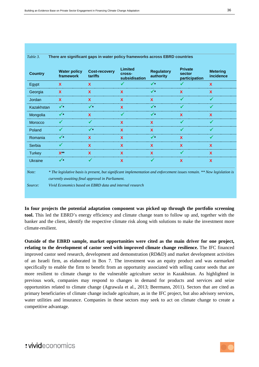<span id="page-35-0"></span>

| <b>Country</b> | <b>Water policy</b><br>framework                                                                                                                                            | <b>Cost-recovery</b><br>tariffs | Limited<br>cross-<br>subsidisation | <b>Regulatory</b><br>authority | <b>Private</b><br>sector<br>participation | <b>Metering</b><br>incidence |
|----------------|-----------------------------------------------------------------------------------------------------------------------------------------------------------------------------|---------------------------------|------------------------------------|--------------------------------|-------------------------------------------|------------------------------|
| Egypt          | X                                                                                                                                                                           | X                               | ✔                                  | $\checkmark$                   |                                           | X                            |
| Georgia        | X                                                                                                                                                                           | $\boldsymbol{\mathsf{X}}$       | $\boldsymbol{\mathsf{x}}$          | $\checkmark$                   | $\mathbf x$                               | $\mathbf x$                  |
| Jordan         | X                                                                                                                                                                           | $\mathbf x$                     | $\boldsymbol{\mathsf{x}}$          | $\mathbf{x}$                   | ✓                                         | ✓                            |
| Kazakhstan     | ✔                                                                                                                                                                           | $\checkmark$                    | X                                  | $\checkmark$                   | ✓                                         | ✔                            |
| Mongolia       | ✔                                                                                                                                                                           | $\boldsymbol{\mathsf{X}}$       | ✔                                  | $\checkmark$                   | $\mathbf x$                               | $\mathbf x$                  |
| Morocco        | ✔                                                                                                                                                                           | ✔                               | $\boldsymbol{\mathsf{x}}$          | $\mathbf x$                    | ✔                                         | ✔                            |
| Poland         |                                                                                                                                                                             | $\checkmark$                    | $\mathbf{x}$                       | $\mathbf{x}$                   |                                           |                              |
| Romania        | ✔                                                                                                                                                                           | $\mathbf{x}$                    | X                                  | $\checkmark$                   | $\mathbf x$                               | ✔                            |
| Serbia         | $\checkmark$                                                                                                                                                                | $\mathbf x$                     | $\boldsymbol{\mathsf{x}}$          | $\mathbf x$                    | $\mathbf x$                               | $\boldsymbol{\mathsf{X}}$    |
| <b>Turkey</b>  | $X^{\ast\ast}$                                                                                                                                                              | X                               | X                                  | $\mathbf{x}$                   |                                           | $\boldsymbol{\mathsf{x}}$    |
| <b>Ukraine</b> | $\checkmark$                                                                                                                                                                |                                 | $\overline{\mathbf{X}}$            |                                | $\boldsymbol{\mathsf{x}}$                 | $\boldsymbol{\mathsf{x}}$    |
| Note:          | * The legislative basis is present, but significant implementation and enforcement issues remain. ** New legislation is<br>currently awaiting final approval in Parliament. |                                 |                                    |                                |                                           |                              |
| Source:        | Vivid Economics based on EBRD data and internal research                                                                                                                    |                                 |                                    |                                |                                           |                              |

**In four projects the potential adaptation component was picked up through the portfolio screening tool.** This led the EBRD's energy efficiency and climate change team to follow up and, together with the banker and the client, identify the respective climate risk along with solutions to make the investment more climate-resilient.

**Outside of the EBRD sample, market opportunities were cited as the main driver for one project, relating to the development of castor seed with improved climate change resilience.** The IFC financed improved castor seed research, development and demonstration (RD&D) and market development activities of an Israeli firm, as elaborated in [Box 7.](#page-36-0) The investment was an equity product and was earmarked specifically to enable the firm to benefit from an opportunity associated with selling castor seeds that are more resilient to climate change to the vulnerable agriculture sector in Kazakhstan. As highlighted in previous work, companies may respond to changes in demand for products and services and seize opportunities related to climate change (Agrawala et al., 2013; Beermann, 2011). Sectors that are cited as primary beneficiaries of climate change include agriculture, as in the IFC project, but also advisory services, water utilities and insurance. Companies in these sectors may seek to act on climate change to create a competitive advantage.

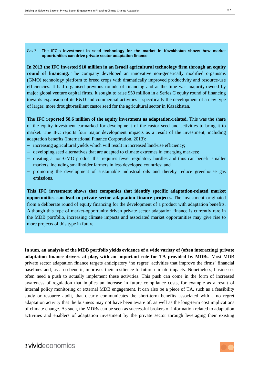<span id="page-36-0"></span>*Box 7.* **The IFC's investment in seed technology for the market in Kazakhstan shows how market opportunities can drive private sector adaptation finance**

**In 2013 the IFC invested \$10 million in an Israeli agricultural technology firm through an equity**  round of financing. The company developed an innovative non-genetically modified organisms (GMO) technology platform to breed crops with dramatically improved productivity and resource-use efficiencies. It had organised previous rounds of financing and at the time was majority-owned by major global venture capital firms. It sought to raise \$50 million in a Series C equity round of financing towards expansion of its R&D and commercial activities – specifically the development of a new type of larger, more drought-resilient castor seed for the agricultural sector in Kazakhstan.

**The IFC reported \$8.6 million of the equity investment as adaptation-related.** This was the share of the equity investment earmarked for development of the castor seed and activities to bring it to market. The IFC reports four major development impacts as a result of the investment, including adaptation benefits (International Finance Corporation, 2013):

- increasing agricultural yields which will result in increased land-use efficiency;
- developing seed alternatives that are adapted to climate extremes in emerging markets;
- creating a non-GMO product that requires fewer regulatory hurdles and thus can benefit smaller markets, including smallholder farmers in less developed countries; and
- promoting the development of sustainable industrial oils and thereby reduce greenhouse gas emissions.

**This IFC investment shows that companies that identify specific adaptation-related market opportunities can lead to private sector adaptation finance projects.** The investment originated from a deliberate round of equity financing for the development of a product with adaptation benefits. Although this type of market-opportunity driven private sector adaptation finance is currently rare in the MDB portfolio, increasing climate impacts and associated market opportunities may give rise to more projects of this type in future.

**In sum, an analysis of the MDB portfolio yields evidence of a wide variety of (often interacting) private adaptation finance drivers at play, with an important role for TA provided by MDBs.** Most MDB private sector adaptation finance targets anticipatory 'no regret' activities that improve the firms' financial baselines and, as a co-benefit, improves their resilience to future climate impacts. Nonetheless, businesses often need a push to actually implement these activities. This push can come in the form of increased awareness of regulation that implies an increase in future compliance costs, for example as a result of internal policy monitoring or external MDB engagement. It can also be a piece of TA, such as a feasibility study or resource audit, that clearly communicates the short-term benefits associated with a no regret adaptation activity that the business may not have been aware of, as well as the long-term cost implications of climate change. As such, the MDBs can be seen as successful brokers of information related to adaptation activities and enablers of adaptation investment by the private sector through leveraging their existing

### : vivideconomics

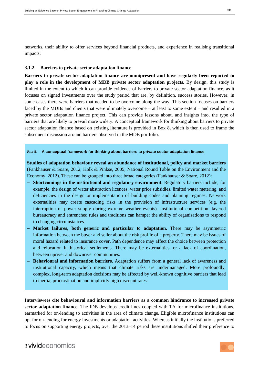networks, their ability to offer services beyond financial products, and experience in realising transitional impacts.

### <span id="page-37-1"></span>**3.1.2 Barriers to private sector adaptation finance**

**Barriers to private sector adaptation finance are omnipresent and have regularly been reported to play a role in the development of MDB private sector adaptation projects.** By design, this study is limited in the extent to which it can provide evidence of barriers to private sector adaptation finance, as it focuses on signed investments over the study period that are, by definition, success stories. However, in some cases there were barriers that needed to be overcome along the way. This section focuses on barriers faced by the MDBs and clients that were ultimately overcome – at least to some extent – and resulted in a private sector adaptation finance project. This can provide lessons about, and insights into, the type of barriers that are likely to prevail more widely. A conceptual framework for thinking about barriers to private sector adaptation finance based on existing literature is provided in [Box 8,](#page-37-0) which is then used to frame the subsequent discussion around barriers observed in the MDB portfolio.

#### <span id="page-37-0"></span>*Box 8.* **A conceptual framework for thinking about barriers to private sector adaptation finance**

**Studies of adaptation behaviour reveal an abundance of institutional, policy and market barriers** (Fankhauser & Soare, 2012; Kolk & Pinkse, 2005; National Round Table on the Environment and the Economy, 2012). These can be grouped into three broad categories (Fankhauser & Soare, 2012):

- **Shortcomings in the institutional and regulatory environment.** Regulatory barriers include, for example, the design of water abstraction licences, water price subsidies, limited water metering, and deficiencies in the design or implementation of building codes and planning regimes. Network externalities may create cascading risks in the provision of infrastructure services (e.g. the interruption of power supply during extreme weather events). Institutional competition, layered bureaucracy and entrenched rules and traditions can hamper the ability of organisations to respond to changing circumstances.
- **Market failures, both generic and particular to adaptation.** There may be asymmetric information between the buyer and seller about the risk profile of a property. There may be issues of moral hazard related to insurance cover. Path dependence may affect the choice between protection and relocation in historical settlements. There may be externalities, or a lack of coordination, between upriver and downriver communities.
- **Behavioural and information barriers.** Adaptation suffers from a general lack of awareness and institutional capacity, which means that climate risks are undermanaged. More profoundly, complex, long-term adaptation decisions may be affected by well-known cognitive barriers that lead to inertia, procrastination and implicitly high discount rates.

**Interviewees cite behavioural and information barriers as a common hindrance to increased private sector adaptation finance.** The IDB develops credit lines coupled with TA for microfinance institutions, earmarked for on-lending to activities in the area of climate change. Eligible microfinance institutions can opt for on-lending for energy investments or adaptation activities. Whereas initially the institutions preferred to focus on supporting energy projects, over the 2013–14 period these institutions shifted their preference to

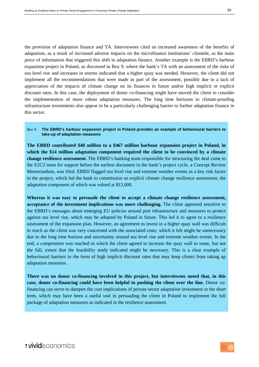the provision of adaptation finance and TA. Interviewees cited an increased awareness of the benefits of adaptation, as a result of increased adverse impacts on the microfinance institutions' clientele, as the main piece of information that triggered this shift to adaptation finance. Another example is the EBRD's harbour expansion project in Poland, as discussed in [Box 9,](#page-38-0) where the bank's TA with an assessment of the risks of sea level rise and increases in storms indicated that a higher quay was needed. However, the client did not implement all the recommendations that were made as part of the assessment, possibly due to a lack of appreciation of the impacts of climate change on its finances in future and/or high implicit or explicit discount rates. In this case, the deployment of donor co-financing might have moved the client to consider the implementation of more robust adaptation measures. The long time horizons in climate-proofing infrastructure investments also appear to be a particularly challenging barrier to further adaptation finance in this sector.

#### <span id="page-38-0"></span>*Box 9.* **The EBRD's harbour expansion project in Poland provides an example of behavioural barriers to take-up of adaptation measures**

**The EBRD contributed \$40 million to a \$467 million harbour expansion project in Poland, in which the \$14 million adaptation component required the client to be convinced by a climate change resilience assessment.** The EBRD's banking team responsible for structuring the deal came to the E2C2 team for support before the earliest document in the bank's project cycle, a Concept Review Memorandum, was filed. EBRD flagged sea level rise and extreme weather events as a key risk factor in the project, which led the bank to commission an explicit climate change resilience assessment, the adaptation component of which was valued at \$15,000.

**Whereas it was easy to persuade the client to accept a climate change resilience assessment, acceptance of the investment implications was more challenging.** The client appeared sensitive to the EBRD's messages about emerging EU policies around port infrastructure and measures to protect against sea level rise, which may be adopted by Poland in future. This led it to agree to a resilience assessment of the expansion plan. However, an agreement to invest in a higher quay wall was difficult to reach as the client was very concerned with the associated costs, which it felt might be unnecessary due to the long time horizon and uncertainty around sea level rise and extreme weather events. In the end, a compromise was reached in which the client agreed to increase the quay wall to some, but not the full, extent that the feasibility study indicated might be necessary. This is a clear example of behavioural barriers in the form of high implicit discount rates that may keep clients from taking up adaptation measures.

**There was no donor co-financing involved in this project, but interviewees noted that, in this case, donor co-financing could have been helpful in pushing the client over the line.** Donor cofinancing can serve to dampen the cost implications of private sector adaptation investment in the short term, which may have been a useful tool in persuading the client in Poland to implement the full package of adaptation measures as indicated in the resilience assessment.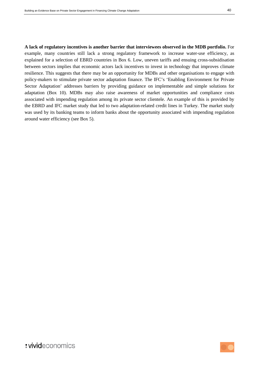**A lack of regulatory incentives is another barrier that interviewees observed in the MDB portfolio.** For example, many countries still lack a strong regulatory framework to increase water-use efficiency, as explained for a selection of EBRD countries in [Box 6.](#page-34-0) Low, uneven tariffs and ensuing cross-subsidisation between sectors implies that economic actors lack incentives to invest in technology that improves climate resilience. This suggests that there may be an opportunity for MDBs and other organisations to engage with policy-makers to stimulate private sector adaptation finance. The IFC's 'Enabling Environment for Private Sector Adaptation' addresses barriers by providing guidance on implementable and simple solutions for adaptation [\(Box 10\)](#page-40-0). MDBs may also raise awareness of market opportunities and compliance costs associated with impending regulation among its private sector clientele. An example of this is provided by the EBRD and IFC market study that led to two adaptation-related credit lines in Turkey. The market study was used by its banking teams to inform banks about the opportunity associated with impending regulation around water efficiency (see [Box 5\)](#page-30-0).

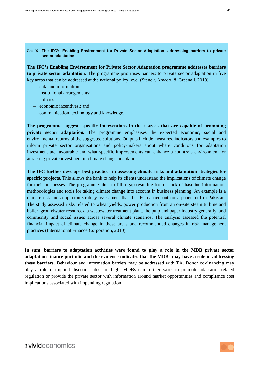#### <span id="page-40-0"></span>*Box 10.* **The IFC's Enabling Environment for Private Sector Adaptation: addressing barriers to private sector adaptation**

**The IFC's Enabling Environment for Private Sector Adaptation programme addresses barriers to private sector adaptation.** The programme prioritises barriers to private sector adaptation in five key areas that can be addressed at the national policy level (Stenek, Amado, & Greenall, 2013):

- data and information;
- institutional arrangements;
- policies;
- economic incentives,; and
- communication, technology and knowledge.

**The programme suggests specific interventions in these areas that are capable of promoting private sector adaptation.** The programme emphasises the expected economic, social and environmental returns of the suggested solutions. Outputs include measures, indicators and examples to inform private sector organisations and policy-makers about where conditions for adaptation investment are favourable and what specific improvements can enhance a country's environment for attracting private investment in climate change adaptation.

**The IFC further develops best practices in assessing climate risks and adaptation strategies for specific projects.** This allows the bank to help its clients understand the implications of climate change for their businesses. The programme aims to fill a gap resulting from a lack of baseline information, methodologies and tools for taking climate change into account in business planning. An example is a climate risk and adaptation strategy assessment that the IFC carried out for a paper mill in Pakistan. The study assessed risks related to wheat yields, power production from an on-site steam turbine and boiler, groundwater resources, a wastewater treatment plant, the pulp and paper industry generally, and community and social issues across several climate scenarios. The analysis assessed the potential financial impact of climate change in these areas and recommended changes in risk management practices (International Finance Corporation, 2010).

**In sum, barriers to adaptation activities were found to play a role in the MDB private sector adaptation finance portfolio and the evidence indicates that the MDBs may have a role in addressing these barriers.** Behaviour and information barriers may be addressed with TA. Donor co-financing may play a role if implicit discount rates are high. MDBs can further work to promote adaptation-related regulation or provide the private sector with information around market opportunities and compliance cost implications associated with impending regulation.

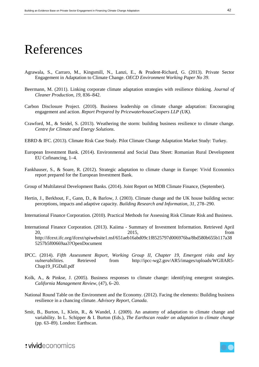# References

- Agrawala, S., Carraro, M., Kingsmill, N., Lanzi, E., & Prudent-Richard, G. (2013). Private Sector Engagement in Adaptation to Climate Change. *OECD Environment Working Paper No 39*.
- Beermann, M. (2011). Linking corporate climate adaptation strategies with resilience thinking. *Journal of Cleaner Production*, *19*, 836–842.
- Carbon Disclosure Project. (2010). Business leadership on climate change adaptation: Encouraging engagement and action. *Report Prepared by PricewaterhouseCoopers LLP (UK)*.
- Crawford, M., & Seidel, S. (2013). Weathering the storm: building business resilience to climate change. *Centre for Climate and Energy Solutions*.
- EBRD & IFC. (2013). Climate Risk Case Study. Pilot Climate Change Adaptation Market Study: Turkey.
- European Investment Bank. (2014). Environmental and Social Data Sheet: Romanian Rural Development EU Cofinancing, 1–4.
- Fankhauser, S., & Soare, R. (2012). Strategic adaptation to climate change in Europe: Vivid Economics report prepared for the European Investment Bank.
- Group of Multilateral Development Banks. (2014). Joint Report on MDB Climate Finance, (September).
- Hertin, J., Berkhout, F., Gann, D., & Barlow, J. (2003). Climate change and the UK house building sector: perceptions, impacts and adaptive capacity. *Building Research and Information*, *31*, 278–290.
- International Finance Corporation. (2010). Practical Methods for Assessing Risk Climate Risk and Business.
- International Finance Corporation. (2013). Kaiima Summary of Investment Information. Retrieved April 20, 2015, from http://ifcext.ifc.org/ifcext/spiwebsite1.nsf/651aeb16abd09c1f8525797d006976ba/8bd580b655b117a38 5257b5f00669aa3?OpenDocument
- IPCC. (2014). *Fifth Assessment Report, Working Group II, Chapter 19, Emergent risks and key vulnerabilities*. Retrieved from http://ipcc-wg2.gov/AR5/images/uploads/WGIIAR5-Chap19\_FGDall.pdf
- Kolk, A., & Pinkse, J. (2005). Business responses to climate change: identifying emergent strategies. *California Management Review*, (47), 6–20.
- National Round Table on the Environment and the Economy. (2012). Facing the elements: Building business resilience in a chancing climate. *Advisory Report, Canada*.
- Smit, B., Burton, I., Klein, R., & Wandel, J. (2009). An anatomy of adaptation to climate change and variability. In L. Schipper & I. Burton (Eds.), *The Earthscan reader on adaptation to climate change* (pp. 63–89). London: Earthscan.

: vivideconomics

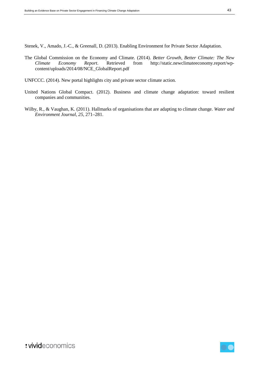Stenek, V., Amado, J.-C., & Greenall, D. (2013). Enabling Environment for Private Sector Adaptation.

- The Global Commission on the Economy and Climate. (2014). *Better Growth, Better Climate: The New Climate Economy Report*. Retrieved from http://static.newclimateeconomy.report/wpcontent/uploads/2014/08/NCE\_GlobalReport.pdf
- UNFCCC. (2014). New portal highlights city and private sector climate action.
- United Nations Global Compact. (2012). Business and climate change adaptation: toward resilient companies and communities.
- Wilby, R., & Vaughan, K. (2011). Hallmarks of organisations that are adapting to climate change. *Water and Environment Journal*, *25*, 271–281.